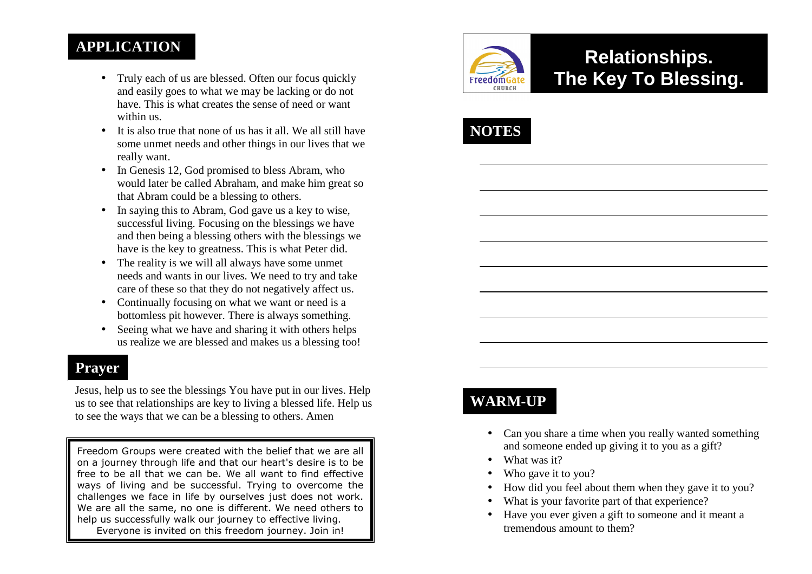#### **APPLICATION**

- Truly each of us are blessed. Often our focus quickly and easily goes to what we may be lacking or do not have. This is what creates the sense of need or want within us.
- It is also true that none of us has it all. We all still have some unmet needs and other things in our lives that we really want.
- In Genesis 12, God promised to bless Abram, who would later be called Abraham, and make him great so that Abram could be a blessing to others.
- In saying this to Abram, God gave us a key to wise, successful living. Focusing on the blessings we have and then being a blessing others with the blessings we have is the key to greatness. This is what Peter did.
- The reality is we will all always have some unmet needs and wants in our lives. We need to try and take care of these so that they do not negatively affect us.
- Continually focusing on what we want or need is a bottomless pit however. There is always something.
- Seeing what we have and sharing it with others helps us realize we are blessed and makes us a blessing too!

#### **Prayer**

Jesus, help us to see the blessings You have put in our lives. Help us to see that relationships are key to living a blessed life. Help us to see the ways that we can be a blessing to others. Amen

Freedom Groups were created with the belief that we are all on a journey through life and that our heart's desire is to be free to be all that we can be. We all want to find effective ways of living and be successful. Trying to overcome the challenges we face in life by ourselves just does not work. We are all the same, no one is different. We need others to help us successfully walk our journey to effective living. Everyone is invited on this freedom journey. Join in!



# **Relationships. The Key To Blessing.**



## **WARM-UP**

- Can you share a time when you really wanted something and someone ended up giving it to you as a gift?
- What was it?
- •Who gave it to you?
- •How did you feel about them when they gave it to you?
- •What is your favorite part of that experience?
- Have you ever given a gift to someone and it meant a tremendous amount to them?